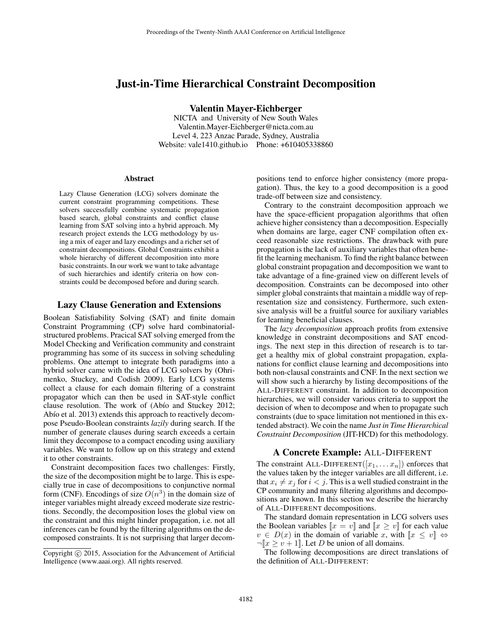# Just-in-Time Hierarchical Constraint Decomposition

Valentin Mayer-Eichberger

NICTA and University of New South Wales Valentin.Mayer-Eichberger@nicta.com.au Level 4, 223 Anzac Parade, Sydney, Australia Website: vale1410.github.io Phone: +610405338860

#### Abstract

Lazy Clause Generation (LCG) solvers dominate the current constraint programming competitions. These solvers successfully combine systematic propagation based search, global constraints and conflict clause learning from SAT solving into a hybrid approach. My research project extends the LCG methodology by using a mix of eager and lazy encodings and a richer set of constraint decompositions. Global Constraints exhibit a whole hierarchy of different decomposition into more basic constraints. In our work we want to take advantage of such hierarchies and identify criteria on how constraints could be decomposed before and during search.

### Lazy Clause Generation and Extensions

Boolean Satisfiability Solving (SAT) and finite domain Constraint Programming (CP) solve hard combinatorialstructured problems. Pracical SAT solving emerged from the Model Checking and Verification community and constraint programming has some of its success in solving scheduling problems. One attempt to integrate both paradigms into a hybrid solver came with the idea of LCG solvers by (Ohrimenko, Stuckey, and Codish 2009). Early LCG systems collect a clause for each domain filtering of a constraint propagator which can then be used in SAT-style conflict clause resolution. The work of (Abío and Stuckey 2012; Abío et al. 2013) extends this approach to reactively decompose Pseudo-Boolean constraints *lazily* during search. If the number of generate clauses during search exceeds a certain limit they decompose to a compact encoding using auxiliary variables. We want to follow up on this strategy and extend it to other constraints.

Constraint decomposition faces two challenges: Firstly, the size of the decomposition might be to large. This is especially true in case of decompositions to conjunctive normal form (CNF). Encodings of size  $O(n^3)$  in the domain size of integer variables might already exceed moderate size restrictions. Secondly, the decomposition loses the global view on the constraint and this might hinder propagation, i.e. not all inferences can be found by the filtering algorithms on the decomposed constraints. It is not surprising that larger decompositions tend to enforce higher consistency (more propagation). Thus, the key to a good decomposition is a good trade-off between size and consistency.

Contrary to the constraint decomposition approach we have the space-efficient propagation algorithms that often achieve higher consistency than a decomposition. Especially when domains are large, eager CNF compilation often exceed reasonable size restrictions. The drawback with pure propagation is the lack of auxiliary variables that often benefit the learning mechanism. To find the right balance between global constraint propagation and decomposition we want to take advantage of a fine-grained view on different levels of decomposition. Constraints can be decomposed into other simpler global constraints that maintain a middle way of representation size and consistency. Furthermore, such extensive analysis will be a fruitful source for auxiliary variables for learning beneficial clauses.

The *lazy decomposition* approach profits from extensive knowledge in constraint decompositions and SAT encodings. The next step in this direction of research is to target a healthy mix of global constraint propagation, explanations for conflict clause learning and decompositions into both non-clausal constraints and CNF. In the next section we will show such a hierarchy by listing decompositions of the ALL-DIFFERENT constraint. In addition to decomposition hierarchies, we will consider various criteria to support the decision of when to decompose and when to propagate such constraints (due to space limitation not mentioned in this extended abstract). We coin the name *Just in Time Hierarchical Constraint Decomposition* (JIT-HCD) for this methodology.

### A Concrete Example: ALL-DIFFERENT

The constraint ALL-DIFFERENT( $[x_1, \ldots, x_n]$ ) enforces that the values taken by the integer variables are all different, i.e. that  $x_i \neq x_j$  for  $i < j$ . This is a well studied constraint in the CP community and many filtering algorithms and decompositions are known. In this section we describe the hierarchy of ALL-DIFFERENT decompositions.

The standard domain representation in LCG solvers uses the Boolean variables  $\llbracket x = v \rrbracket$  and  $\llbracket x \geq v \rrbracket$  for each value  $v \in D(x)$  in the domain of variable x, with  $\|x \leq v\| \Leftrightarrow$  $\neg [x \ge v + 1]$ . Let D be union of all domains.

The following decompositions are direct translations of the definition of ALL-DIFFERENT:

Copyright © 2015, Association for the Advancement of Artificial Intelligence (www.aaai.org). All rights reserved.